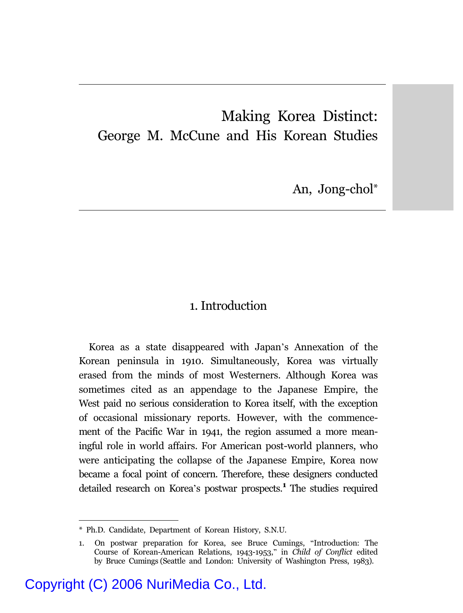## Making Korea Distinct: George M. McCune and His Korean Studies

An, Jong-chol\*

#### 1. Introduction

Korea as a state disappeared with Japan's Annexation of the Korean peninsula in 1910. Simultaneously, Korea was virtually erased from the minds of most Westerners. Although Korea was sometimes cited as an appendage to the Japanese Empire, the West paid no serious consideration to Korea itself, with the exception of occasional missionary reports. However, with the commencement of the Pacific War in 1941, the region assumed a more meaningful role in world affairs. For American post-world planners, who were anticipating the collapse of the Japanese Empire, Korea now became a focal point of concern. Therefore, these designers conducted detailed research on Korea's postwar prospects.**<sup>1</sup>** The studies required

<sup>\*</sup> Ph.D. Candidate, Department of Korean History, S.N.U.

<sup>1.</sup> On postwar preparation for Korea, see Bruce Cumings, "Introduction: The Course of Korean-American Relations, 1943-1953," in *Child of Conflict* edited by Bruce Cumings (Seattle and London: University of Washington Press, 1983).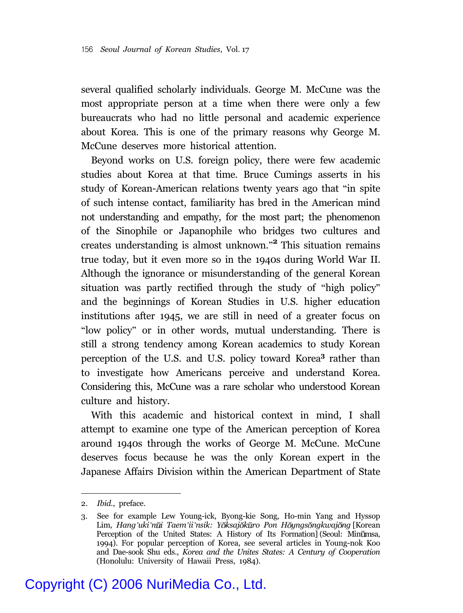several qualified scholarly individuals. George M. McCune was the most appropriate person at a time when there were only a few bureaucrats who had no little personal and academic experience about Korea. This is one of the primary reasons why George M. McCune deserves more historical attention.

Beyond works on U.S. foreign policy, there were few academic studies about Korea at that time. Bruce Cumings asserts in his study of Korean-American relations twenty years ago that "in spite of such intense contact, familiarity has bred in the American mind not understanding and empathy, for the most part; the phenomenon of the Sinophile or Japanophile who bridges two cultures and creates understanding is almost unknown." **2** This situation remains true today, but it even more so in the 1940s during World War II. Although the ignorance or misunderstanding of the general Korean situation was partly rectified through the study of "high policy" and the beginnings of Korean Studies in U.S. higher education institutions after 1945, we are still in need of a greater focus on "low policy" or in other words, mutual understanding. There is still a strong tendency among Korean academics to study Korean perception of the U.S. and U.S. policy toward Korea**<sup>3</sup>** rather than to investigate how Americans perceive and understand Korea. Considering this, McCune was a rare scholar who understood Korean culture and history.

With this academic and historical context in mind, I shall attempt to examine one type of the American perception of Korea around 1940s through the works of George M. McCune. McCune deserves focus because he was the only Korean expert in the Japanese Affairs Division within the American Department of State

<sup>2.</sup> *Ibid*., preface.

<sup>3.</sup> See for example Lew Young-ick, Byong-kie Song, Ho-min Yang and Hyssop Lim, *Hang'uki'n i Taem'ii'nsik: Y ksaj k ro Pon H yngs ngkwaj ng* [Korean Perception of the United States: A History of Its Formation] (Seoul: Minumsa, 1994). For popular perception of Korea, see several articles in Young-nok Koo and Dae-sook Shu eds., *Korea and the Unites States: A Century of Cooperation* (Honolulu: University of Hawaii Press, 1984).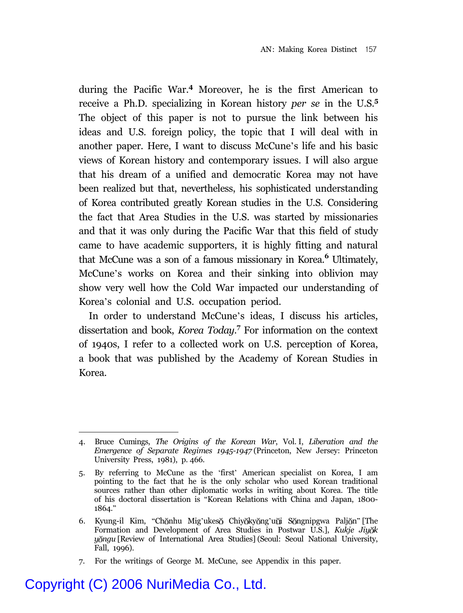during the Pacific War.**<sup>4</sup>** Moreover, he is the first American to receive a Ph.D. specializing in Korean history *per se* in the U.S.**<sup>5</sup>** The object of this paper is not to pursue the link between his ideas and U.S. foreign policy, the topic that I will deal with in another paper. Here, I want to discuss McCune's life and his basic views of Korean history and contemporary issues. I will also argue that his dream of a unified and democratic Korea may not have been realized but that, nevertheless, his sophisticated understanding of Korea contributed greatly Korean studies in the U.S. Considering the fact that Area Studies in the U.S. was started by missionaries and that it was only during the Pacific War that this field of study came to have academic supporters, it is highly fitting and natural that McCune was a son of a famous missionary in Korea.**<sup>6</sup>** Ultimately, McCune's works on Korea and their sinking into oblivion may show very well how the Cold War impacted our understanding of Korea's colonial and U.S. occupation period.

In order to understand McCune's ideas, I discuss his articles, dissertation and book, *Korea Today*. **7** For information on the context of 1940s, I refer to a collected work on U.S. perception of Korea, a book that was published by the Academy of Korean Studies in Korea.

7. For the writings of George M. McCune, see Appendix in this paper.

<sup>4.</sup> Bruce Cumings, *The Origins of the Korean War*, Vol. I, *Liberation and the Emergence of Separate Regimes 1945-1947* (Princeton, New Jersey: Princeton University Press, 1981), p. 466.

<sup>5.</sup> By referring to McCune as the 'first' American specialist on Korea, I am pointing to the fact that he is the only scholar who used Korean traditional sources rather than other diplomatic works in writing about Korea. The title of his doctoral dissertation is "Korean Relations with China and Japan, 1800- 1864."

<sup>6.</sup> Kyung-il Kim, "Chŏnhu Mig'ukesŏ Chiyŏkyŏng'uŭi Sŏngnipgwa Paljŏn" [The Formation and Development of Area Studies in Postwar U.S.], *Kukje Jiyok y ngu* [Review of International Area Studies] (Seoul: Seoul National University, Fall, 1996).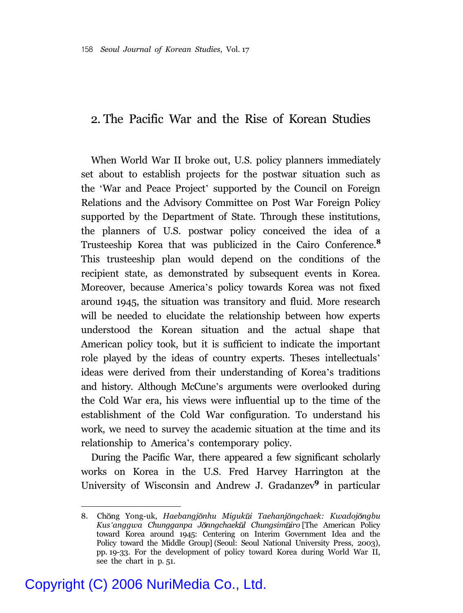### 2. The Pacific War and the Rise of Korean Studies

When World War II broke out, U.S. policy planners immediately set about to establish projects for the postwar situation such as the 'War and Peace Project' supported by the Council on Foreign Relations and the Advisory Committee on Post War Foreign Policy supported by the Department of State. Through these institutions, the planners of U.S. postwar policy conceived the idea of a Trusteeship Korea that was publicized in the Cairo Conference.**<sup>8</sup>** This trusteeship plan would depend on the conditions of the recipient state, as demonstrated by subsequent events in Korea. Moreover, because America's policy towards Korea was not fixed around 1945, the situation was transitory and fluid. More research will be needed to elucidate the relationship between how experts understood the Korean situation and the actual shape that American policy took, but it is sufficient to indicate the important role played by the ideas of country experts. Theses intellectuals' ideas were derived from their understanding of Korea's traditions and history. Although McCune's arguments were overlooked during the Cold War era, his views were influential up to the time of the establishment of the Cold War configuration. To understand his work, we need to survey the academic situation at the time and its relationship to America's contemporary policy.

During the Pacific War, there appeared a few significant scholarly works on Korea in the U.S. Fred Harvey Harrington at the University of Wisconsin and Andrew J. Gradanzev**<sup>9</sup>** in particular

<sup>8.</sup> Ch ng Yong-uk, *Haebangj nhu Miguk i Taehanj ngchaek: Kwadoj ngbu Kus'anggwa Chungganpa J nngchaek l Chungsim iro* [The American Policy toward Korea around 1945: Centering on Interim Government Idea and the Policy toward the Middle Group] (Seoul: Seoul National University Press, 2003), pp. 19-33. For the development of policy toward Korea during World War II, see the chart in p. 51.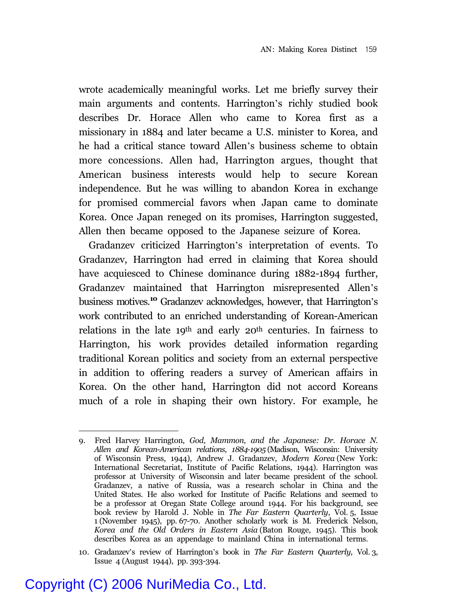wrote academically meaningful works. Let me briefly survey their main arguments and contents. Harrington's richly studied book describes Dr. Horace Allen who came to Korea first as a missionary in 1884 and later became a U.S. minister to Korea, and he had a critical stance toward Allen's business scheme to obtain more concessions. Allen had, Harrington argues, thought that American business interests would help to secure Korean independence. But he was willing to abandon Korea in exchange for promised commercial favors when Japan came to dominate Korea. Once Japan reneged on its promises, Harrington suggested, Allen then became opposed to the Japanese seizure of Korea.

Gradanzev criticized Harrington's interpretation of events. To Gradanzev, Harrington had erred in claiming that Korea should have acquiesced to Chinese dominance during 1882-1894 further, Gradanzev maintained that Harrington misrepresented Allen's business motives.**<sup>10</sup>** Gradanzev acknowledges, however, that Harrington's work contributed to an enriched understanding of Korean-American relations in the late 19th and early 20th centuries. In fairness to Harrington, his work provides detailed information regarding traditional Korean politics and society from an external perspective in addition to offering readers a survey of American affairs in Korea. On the other hand, Harrington did not accord Koreans much of a role in shaping their own history. For example, he

<sup>9.</sup> Fred Harvey Harrington, *God, Mammon, and the Japanese: Dr. Horace N. Allen and Korean-American relations, 1884-1905* (Madison, Wisconsin: University of Wisconsin Press, 1944), Andrew J. Gradanzev, *Modern Korea* (New York: International Secretariat, Institute of Pacific Relations, 1944). Harrington was professor at University of Wisconsin and later became president of the school. Gradanzev, a native of Russia, was a research scholar in China and the United States. He also worked for Institute of Pacific Relations and seemed to be a professor at Oregan State College around 1944. For his background, see book review by Harold J. Noble in *The Far Eastern Quarterly*, Vol. 5, Issue 1 (November 1945), pp. 67-70. Another scholarly work is M. Frederick Nelson, *Korea and the Old Orders in Eastern Asia* (Baton Rouge, 1945). This book describes Korea as an appendage to mainland China in international terms.

<sup>10.</sup> Gradanzev's review of Harrington's book in *The Far Eastern Quarterly*, Vol. 3, Issue 4 (August 1944), pp. 393-394.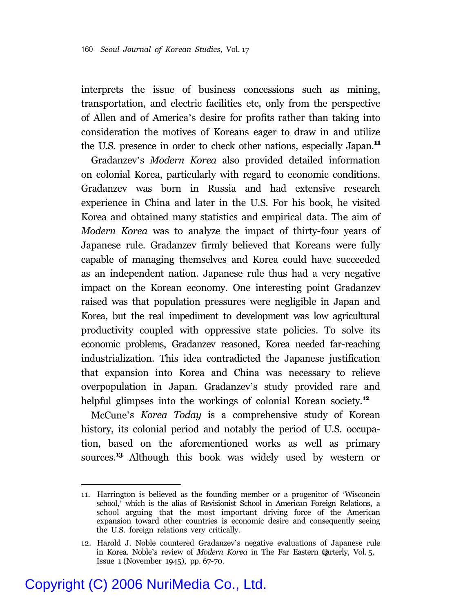interprets the issue of business concessions such as mining, transportation, and electric facilities etc, only from the perspective of Allen and of America's desire for profits rather than taking into consideration the motives of Koreans eager to draw in and utilize the U.S. presence in order to check other nations, especially Japan.**<sup>11</sup>**

Gradanzev's *Modern Korea* also provided detailed information on colonial Korea, particularly with regard to economic conditions. Gradanzev was born in Russia and had extensive research experience in China and later in the U.S. For his book, he visited Korea and obtained many statistics and empirical data. The aim of *Modern Korea* was to analyze the impact of thirty-four years of Japanese rule. Gradanzev firmly believed that Koreans were fully capable of managing themselves and Korea could have succeeded as an independent nation. Japanese rule thus had a very negative impact on the Korean economy. One interesting point Gradanzev raised was that population pressures were negligible in Japan and Korea, but the real impediment to development was low agricultural productivity coupled with oppressive state policies. To solve its economic problems, Gradanzev reasoned, Korea needed far-reaching industrialization. This idea contradicted the Japanese justification that expansion into Korea and China was necessary to relieve overpopulation in Japan. Gradanzev's study provided rare and helpful glimpses into the workings of colonial Korean society.**<sup>12</sup>**

McCune's *Korea Today* is a comprehensive study of Korean history, its colonial period and notably the period of U.S. occupation, based on the aforementioned works as well as primary sources.**<sup>13</sup>** Although this book was widely used by western or

<sup>11.</sup> Harrington is believed as the founding member or a progenitor of 'Wisconcin school,' which is the alias of Revisionist School in American Foreign Relations, a school arguing that the most important driving force of the American expansion toward other countries is economic desire and consequently seeing the U.S. foreign relations very critically.

<sup>12.</sup> Harold J. Noble countered Gradanzev's negative evaluations of Japanese rule in Korea. Noble's review of *Modern Korea* in The Far Eastern Quarterly, Vol. 5, Issue 1 (November 1945), pp. 67-70.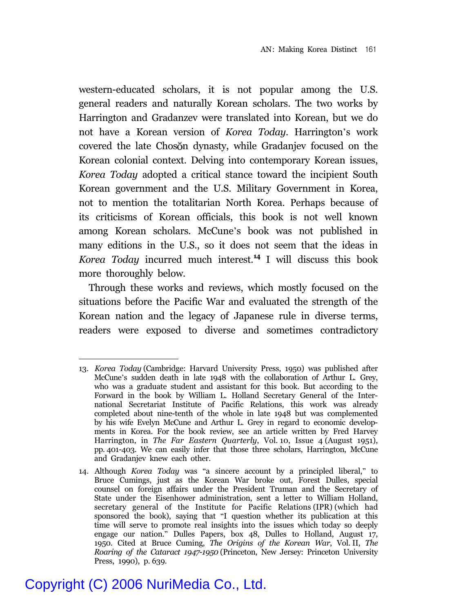western-educated scholars, it is not popular among the U.S. general readers and naturally Korean scholars. The two works by Harrington and Gradanzev were translated into Korean, but we do not have a Korean version of *Korea Today*. Harrington's work covered the late Choson dynasty, while Gradanjev focused on the Korean colonial context. Delving into contemporary Korean issues, *Korea Today* adopted a critical stance toward the incipient South Korean government and the U.S. Military Government in Korea, not to mention the totalitarian North Korea. Perhaps because of its criticisms of Korean officials, this book is not well known among Korean scholars. McCune's book was not published in many editions in the U.S., so it does not seem that the ideas in *Korea Today* incurred much interest.**<sup>14</sup>** I will discuss this book more thoroughly below.

Through these works and reviews, which mostly focused on the situations before the Pacific War and evaluated the strength of the Korean nation and the legacy of Japanese rule in diverse terms, readers were exposed to diverse and sometimes contradictory

<sup>13.</sup> *Korea Today* (Cambridge: Harvard University Press, 1950) was published after McCune's sudden death in late 1948 with the collaboration of Arthur L. Grey, who was a graduate student and assistant for this book. But according to the Forward in the book by William L. Holland Secretary General of the International Secretariat Institute of Pacific Relations, this work was already completed about nine-tenth of the whole in late 1948 but was complemented by his wife Evelyn McCune and Arthur L. Grey in regard to economic developments in Korea. For the book review, see an article written by Fred Harvey Harrington, in *The Far Eastern Quarterly*, Vol. 10, Issue 4 (August 1951), pp. 401-403. We can easily infer that those three scholars, Harrington, McCune and Gradanjev knew each other.

<sup>14.</sup> Although *Korea Today* was "a sincere account by a principled liberal," to Bruce Cumings, just as the Korean War broke out, Forest Dulles, special counsel on foreign affairs under the President Truman and the Secretary of State under the Eisenhower administration, sent a letter to William Holland, secretary general of the Institute for Pacific Relations (IPR) (which had sponsored the book), saying that "I question whether its publication at this time will serve to promote real insights into the issues which today so deeply engage our nation." Dulles Papers, box 48, Dulles to Holland, August 17, 1950. Cited at Bruce Cuming, *The Origins of the Korean War*, Vol. II, *The Roaring of the Cataract 1947-1950* (Princeton, New Jersey: Princeton University Press, 1990), p. 639.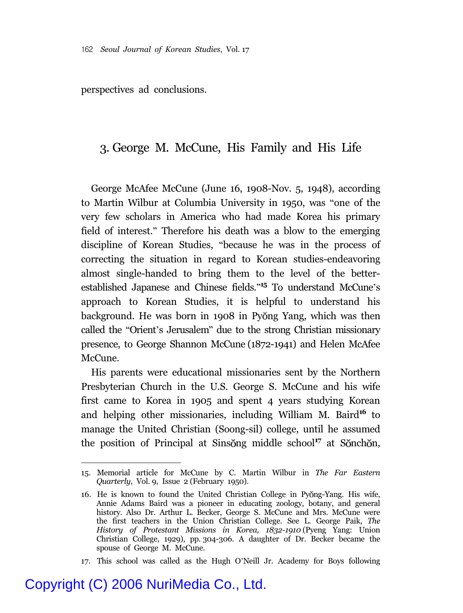perspectives ad conclusions.

#### 3. George M. McCune, His Family and His Life

George McAfee McCune (June 16, 1908-Nov. 5, 1948), according to Martin Wilbur at Columbia University in 1950, was "one of the very few scholars in America who had made Korea his primary field of interest." Therefore his death was a blow to the emerging discipline of Korean Studies, "because he was in the process of correcting the situation in regard to Korean studies-endeavoring almost single-handed to bring them to the level of the betterestablished Japanese and Chinese fields." **<sup>15</sup>** To understand McCune's approach to Korean Studies, it is helpful to understand his background. He was born in 1908 in Pyong Yang, which was then called the "Orient's Jerusalem" due to the strong Christian missionary presence, to George Shannon McCune (1872-1941) and Helen McAfee McCune.

His parents were educational missionaries sent by the Northern Presbyterian Church in the U.S. George S. McCune and his wife first came to Korea in 1905 and spent 4 years studying Korean and helping other missionaries, including William M. Baird**<sup>16</sup>** to manage the United Christian (Soong-sil) college, until he assumed the position of Principal at Sinsong middle school<sup>17</sup> at Sonchon,

<sup>15.</sup> Memorial article for McCune by C. Martin Wilbur in *The Far Eastern Quarterly*, Vol. 9, Issue 2 (February 1950).

<sup>16.</sup> He is known to found the United Christian College in Pyong-Yang. His wife, Annie Adams Baird was a pioneer in educating zoology, botany, and general history. Also Dr. Arthur L. Becker, George S. McCune and Mrs. McCune were the first teachers in the Union Christian College. See L. George Paik, *The History of Protestant Missions in Korea, 1832-1910* (Pyeng Yang: Union Christian College, 1929), pp. 304-306. A daughter of Dr. Becker became the spouse of George M. McCune.

<sup>17.</sup> This school was called as the Hugh O'Neill Jr. Academy for Boys following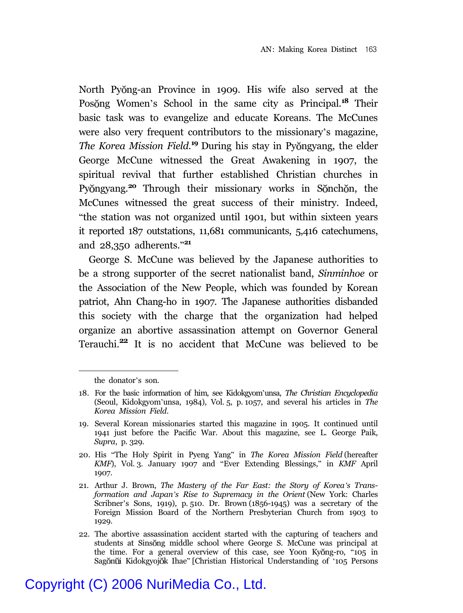North Pyŏng-an Province in 1909. His wife also served at the Posong Women's School in the same city as Principal.<sup>18</sup> Their basic task was to evangelize and educate Koreans. The McCunes were also very frequent contributors to the missionary's magazine, The Korea Mission Field.<sup>19</sup> During his stay in Pyongyang, the elder George McCune witnessed the Great Awakening in 1907, the spiritual revival that further established Christian churches in Py ngyang.<sup>20</sup> Through their missionary works in Sonchon, the McCunes witnessed the great success of their ministry. Indeed, "the station was not organized until 1901, but within sixteen years it reported 187 outstations, 11,681 communicants, 5,416 catechumens, and 28,350 adherents."**<sup>21</sup>**

George S. McCune was believed by the Japanese authorities to be a strong supporter of the secret nationalist band, *Sinminhoe* or the Association of the New People, which was founded by Korean patriot, Ahn Chang-ho in 1907. The Japanese authorities disbanded this society with the charge that the organization had helped organize an abortive assassination attempt on Governor General Terauchi.**22** It is no accident that McCune was believed to be

the donator's son.

<sup>18.</sup> For the basic information of him, see Kidokgyom'unsa, *The Christian Encyclopedia* (Seoul, Kidokgyom'unsa, 1984), Vol. 5, p. 1057, and several his articles in *The Korea Mission Field*.

<sup>19.</sup> Several Korean missionaries started this magazine in 1905. It continued until 1941 just before the Pacific War. About this magazine, see L. George Paik, *Supra*, p. 329.

<sup>20.</sup> His "The Holy Spirit in Pyeng Yang" in *The Korea Mission Field* (hereafter *KMF*), Vol. 3. January 1907 and "Ever Extending Blessings," in *KMF* April 1907.

<sup>21.</sup> Arthur J. Brown, *The Mastery of the Far East: the Story of Korea's Transformation and Japan's Rise to Supremacy in the Orient* (New York: Charles Scribner's Sons, 1919), p. 510. Dr. Brown (1856-1945) was a secretary of the Foreign Mission Board of the Northern Presbyterian Church from 1903 to 1929.

<sup>22.</sup> The abortive assassination accident started with the capturing of teachers and students at Sinsong middle school where George S. McCune was principal at the time. For a general overview of this case, see Yoon Kyong-ro, "105 in Sagŏnŭi Kidokgyojŏk Ihae" [Christian Historical Understanding of '105 Persons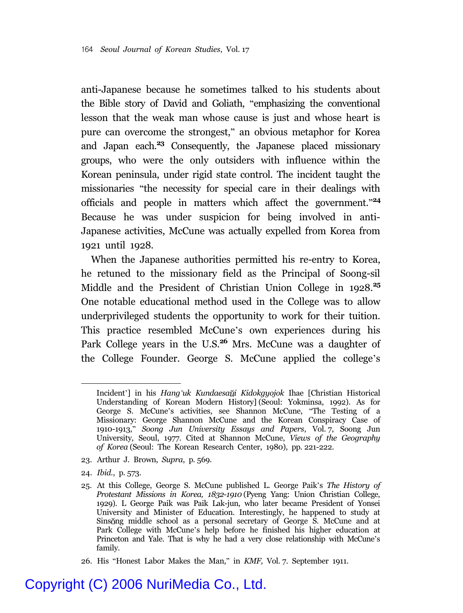anti-Japanese because he sometimes talked to his students about the Bible story of David and Goliath, "emphasizing the conventional lesson that the weak man whose cause is just and whose heart is pure can overcome the strongest," an obvious metaphor for Korea and Japan each.**<sup>23</sup>** Consequently, the Japanese placed missionary groups, who were the only outsiders with influence within the Korean peninsula, under rigid state control. The incident taught the missionaries "the necessity for special care in their dealings with officials and people in matters which affect the government." **24** Because he was under suspicion for being involved in anti-Japanese activities, McCune was actually expelled from Korea from 1921 until 1928.

When the Japanese authorities permitted his re-entry to Korea, he retuned to the missionary field as the Principal of Soong-sil Middle and the President of Christian Union College in 1928.**<sup>25</sup>** One notable educational method used in the College was to allow underprivileged students the opportunity to work for their tuition. This practice resembled McCune's own experiences during his Park College years in the U.S.**<sup>26</sup>** Mrs. McCune was a daughter of the College Founder. George S. McCune applied the college's

- 23. Arthur J. Brown, *Supra*, p. 569.
- 24. *Ibid*., p. 573.

26. His "Honest Labor Makes the Man," in *KMF,* Vol. 7. September 1911.

Incident'] in his *Hang'uk Kundaesa i Kidokgyojok* Ihae [Christian Historical Understanding of Korean Modern History] (Seoul: Yokminsa, 1992). As for George S. McCune's activities, see Shannon McCune, "The Testing of a Missionary: George Shannon McCune and the Korean Conspiracy Case of 1910-1913," *Soong Jun University Essays and Papers*, Vol. 7, Soong Jun University, Seoul, 1977. Cited at Shannon McCune, *Views of the Geography of Korea* (Seoul: The Korean Research Center, 1980), pp. 221-222.

<sup>25.</sup> At this College, George S. McCune published L. George Paik's *The History of Protestant Missions in Korea, 1832-1910* (Pyeng Yang: Union Christian College, 1929). L George Paik was Paik Lak-jun, who later became President of Yonsei University and Minister of Education. Interestingly, he happened to study at Sinsong middle school as a personal secretary of George S. McCune and at Park College with McCune's help before he finished his higher education at Princeton and Yale. That is why he had a very close relationship with McCune's family.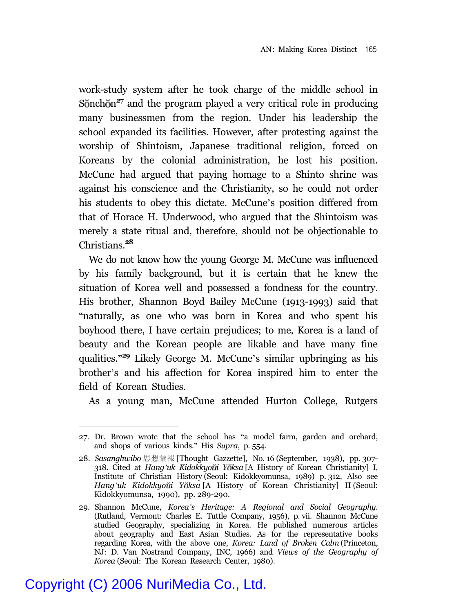work-study system after he took charge of the middle school in Sonch on<sup>27</sup> and the program played a very critical role in producing many businessmen from the region. Under his leadership the school expanded its facilities. However, after protesting against the worship of Shintoism, Japanese traditional religion, forced on Koreans by the colonial administration, he lost his position. McCune had argued that paying homage to a Shinto shrine was against his conscience and the Christianity, so he could not order his students to obey this dictate. McCune's position differed from that of Horace H. Underwood, who argued that the Shintoism was merely a state ritual and, therefore, should not be objectionable to Christians.**<sup>28</sup>**

We do not know how the young George M. McCune was influenced by his family background, but it is certain that he knew the situation of Korea well and possessed a fondness for the country. His brother, Shannon Boyd Bailey McCune (1913-1993) said that "naturally, as one who was born in Korea and who spent his boyhood there, I have certain prejudices; to me, Korea is a land of beauty and the Korean people are likable and have many fine qualities."**<sup>29</sup>** Likely George M. McCune's similar upbringing as his brother's and his affection for Korea inspired him to enter the field of Korean Studies.

As a young man, McCune attended Hurton College, Rutgers

<sup>27.</sup> Dr. Brown wrote that the school has "a model farm, garden and orchard, and shops of various kinds." His *Supra*, p. 554.

<sup>28.</sup> Sasanghwibo 思想彙報 [Thought Gazzette], No. 16 (September, 1938), pp. 307-318. Cited at *Hang'uk Kidokkyo i Y ksa* [A History of Korean Christianity] I, Institute of Christian History (Seoul: Kidokkyomunsa, 1989) p. 312, Also see *Hang'uk Kidokkyo i Y ksa* [A History of Korean Christianity] II (Seoul: Kidokkyomunsa, 1990), pp. 289-290.

<sup>29.</sup> Shannon McCune, *Korea's Heritage: A Regional and Social Geography.* (Rutland, Vermont: Charles E. Tuttle Company, 1956), p. vii. Shannon McCune studied Geography, specializing in Korea. He published numerous articles about geography and East Asian Studies. As for the representative books regarding Korea, with the above one, *Korea: Land of Broken Calm* (Princeton, NJ: D. Van Nostrand Company, INC, 1966) and *Views of the Geography of Korea* (Seoul: The Korean Research Center, 1980).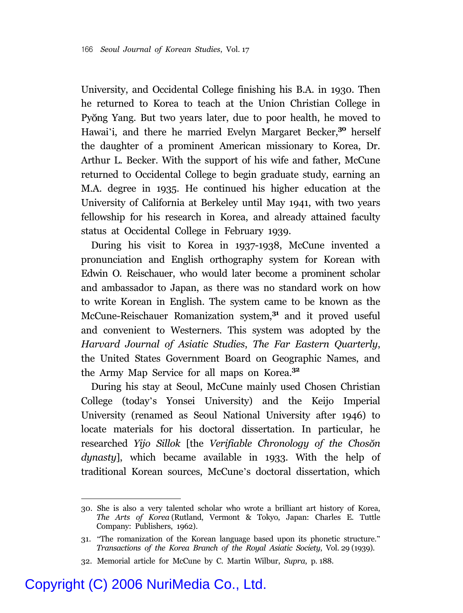University, and Occidental College finishing his B.A. in 1930. Then he returned to Korea to teach at the Union Christian College in Py ng Yang. But two years later, due to poor health, he moved to Hawai'i, and there he married Evelyn Margaret Becker,**<sup>30</sup>** herself the daughter of a prominent American missionary to Korea, Dr. Arthur L. Becker. With the support of his wife and father, McCune returned to Occidental College to begin graduate study, earning an M.A. degree in 1935. He continued his higher education at the University of California at Berkeley until May 1941, with two years fellowship for his research in Korea, and already attained faculty status at Occidental College in February 1939.

During his visit to Korea in 1937-1938, McCune invented a pronunciation and English orthography system for Korean with Edwin O. Reischauer, who would later become a prominent scholar and ambassador to Japan, as there was no standard work on how to write Korean in English. The system came to be known as the McCune-Reischauer Romanization system,**<sup>31</sup>** and it proved useful and convenient to Westerners. This system was adopted by the *Harvard Journal of Asiatic Studies*, *The Far Eastern Quarterly*, the United States Government Board on Geographic Names, and the Army Map Service for all maps on Korea.**<sup>32</sup>**

During his stay at Seoul, McCune mainly used Chosen Christian College (today's Yonsei University) and the Keijo Imperial University (renamed as Seoul National University after 1946) to locate materials for his doctoral dissertation. In particular, he researched *Yijo Sillok* [the *Verifiable Chronology of the Choson dynasty*], which became available in 1933. With the help of traditional Korean sources, McCune's doctoral dissertation, which

<sup>30.</sup> She is also a very talented scholar who wrote a brilliant art history of Korea, *The Arts of Korea* (Rutland, Vermont & Tokyo, Japan: Charles E. Tuttle Company: Publishers, 1962).

<sup>31.</sup> "The romanization of the Korean language based upon its phonetic structure." *Transactions of the Korea Branch of the Royal Asiatic Society*, Vol. 29 (1939).

<sup>32.</sup> Memorial article for McCune by C. Martin Wilbur, *Supra*, p. 188.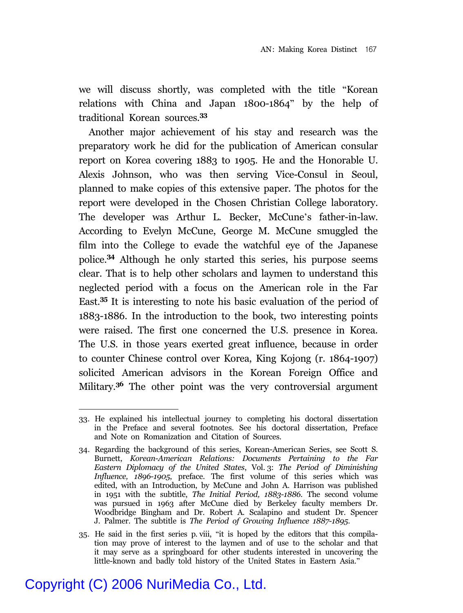we will discuss shortly, was completed with the title "Korean relations with China and Japan 1800-1864" by the help of traditional Korean sources.**<sup>33</sup>**

Another major achievement of his stay and research was the preparatory work he did for the publication of American consular report on Korea covering 1883 to 1905. He and the Honorable U. Alexis Johnson, who was then serving Vice-Consul in Seoul, planned to make copies of this extensive paper. The photos for the report were developed in the Chosen Christian College laboratory. The developer was Arthur L. Becker, McCune's father-in-law. According to Evelyn McCune, George M. McCune smuggled the film into the College to evade the watchful eye of the Japanese police.**<sup>34</sup>** Although he only started this series, his purpose seems clear. That is to help other scholars and laymen to understand this neglected period with a focus on the American role in the Far East.**<sup>35</sup>** It is interesting to note his basic evaluation of the period of 1883-1886. In the introduction to the book, two interesting points were raised. The first one concerned the U.S. presence in Korea. The U.S. in those years exerted great influence, because in order to counter Chinese control over Korea, King Kojong (r. 1864-1907) solicited American advisors in the Korean Foreign Office and Military.**<sup>36</sup>** The other point was the very controversial argument

<sup>33.</sup> He explained his intellectual journey to completing his doctoral dissertation in the Preface and several footnotes. See his doctoral dissertation, Preface and Note on Romanization and Citation of Sources.

<sup>34.</sup> Regarding the background of this series, Korean-American Series, see Scott S. Burnett, *Korean-American Relations: Documents Pertaining to the Far Eastern Diplomacy of the United States*, Vol. 3: *The Period of Diminishing Influence, 1896-1905*, preface. The first volume of this series which was edited, with an Introduction, by McCune and John A. Harrison was published in 1951 with the subtitle, *The Initial Period, 1883-1886*. The second volume was pursued in 1963 after McCune died by Berkeley faculty members Dr. Woodbridge Bingham and Dr. Robert A. Scalapino and student Dr. Spencer J. Palmer. The subtitle is *The Period of Growing Influence 1887-1895*.

<sup>35.</sup> He said in the first series p. viii, "it is hoped by the editors that this compilation may prove of interest to the laymen and of use to the scholar and that it may serve as a springboard for other students interested in uncovering the little-known and badly told history of the United States in Eastern Asia."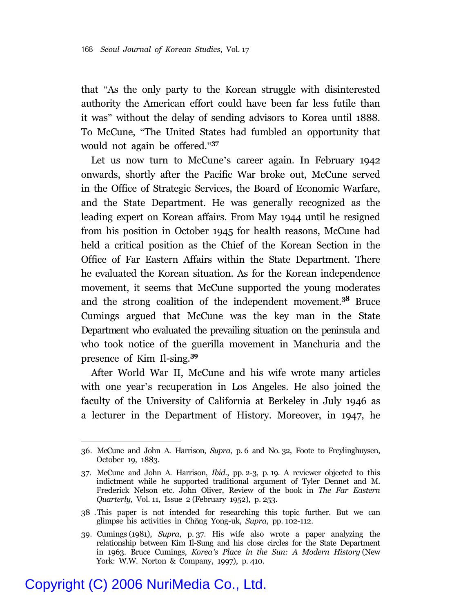that "As the only party to the Korean struggle with disinterested authority the American effort could have been far less futile than it was" without the delay of sending advisors to Korea until 1888. To McCune, "The United States had fumbled an opportunity that would not again be offered."**<sup>37</sup>**

Let us now turn to McCune's career again. In February 1942 onwards, shortly after the Pacific War broke out, McCune served in the Office of Strategic Services, the Board of Economic Warfare, and the State Department. He was generally recognized as the leading expert on Korean affairs. From May 1944 until he resigned from his position in October 1945 for health reasons, McCune had held a critical position as the Chief of the Korean Section in the Office of Far Eastern Affairs within the State Department. There he evaluated the Korean situation. As for the Korean independence movement, it seems that McCune supported the young moderates and the strong coalition of the independent movement.**<sup>38</sup>** Bruce Cumings argued that McCune was the key man in the State Department who evaluated the prevailing situation on the peninsula and who took notice of the guerilla movement in Manchuria and the presence of Kim Il-sing.**<sup>39</sup>**

After World War II, McCune and his wife wrote many articles with one year's recuperation in Los Angeles. He also joined the faculty of the University of California at Berkeley in July 1946 as a lecturer in the Department of History. Moreover, in 1947, he

<sup>36.</sup> McCune and John A. Harrison, *Supra*, p. 6 and No. 32, Foote to Freylinghuysen, October 19, 1883.

<sup>37.</sup> McCune and John A. Harrison, *Ibid*., pp. 2-3, p. 19. A reviewer objected to this indictment while he supported traditional argument of Tyler Dennet and M. Frederick Nelson etc. John Oliver, Review of the book in *The Far Eastern Quarterly*, Vol. 11, Issue 2 (February 1952), p. 253.

<sup>38 .</sup>This paper is not intended for researching this topic further. But we can glimpse his activities in Chong Yong-uk, *Supra*, pp. 102-112.

<sup>39.</sup> Cumings (1981), *Supra*, p. 37. His wife also wrote a paper analyzing the relationship between Kim Il-Sung and his close circles for the State Department in 1963. Bruce Cumings, *Korea's Place in the Sun: A Modern History* (New York: W.W. Norton & Company, 1997), p. 410.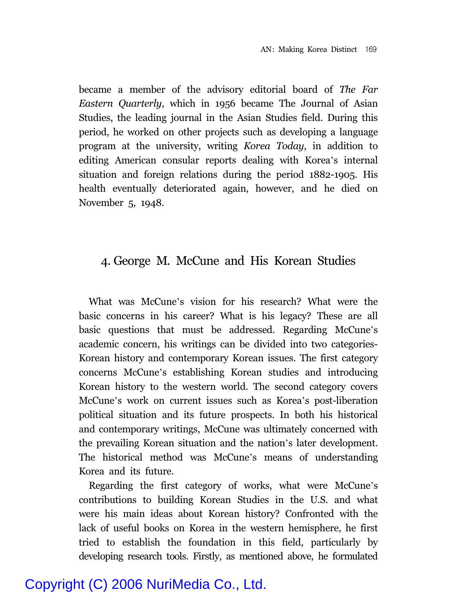became a member of the advisory editorial board of *The Far Eastern Quarterly*, which in 1956 became The Journal of Asian Studies, the leading journal in the Asian Studies field. During this period, he worked on other projects such as developing a language program at the university, writing *Korea Today*, in addition to editing American consular reports dealing with Korea's internal situation and foreign relations during the period 1882-1905. His health eventually deteriorated again, however, and he died on November 5, 1948.

#### 4. George M. McCune and His Korean Studies

What was McCune's vision for his research? What were the basic concerns in his career? What is his legacy? These are all basic questions that must be addressed. Regarding McCune's academic concern, his writings can be divided into two categories-Korean history and contemporary Korean issues. The first category concerns McCune's establishing Korean studies and introducing Korean history to the western world. The second category covers McCune's work on current issues such as Korea's post-liberation political situation and its future prospects. In both his historical and contemporary writings, McCune was ultimately concerned with the prevailing Korean situation and the nation's later development. The historical method was McCune's means of understanding Korea and its future.

Regarding the first category of works, what were McCune's contributions to building Korean Studies in the U.S. and what were his main ideas about Korean history? Confronted with the lack of useful books on Korea in the western hemisphere, he first tried to establish the foundation in this field, particularly by developing research tools. Firstly, as mentioned above, he formulated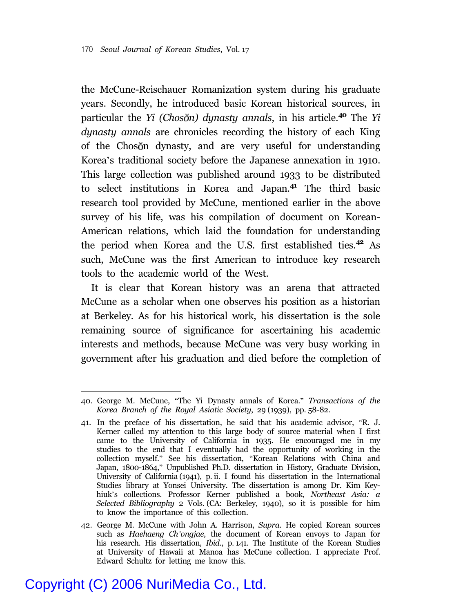the McCune-Reischauer Romanization system during his graduate years. Secondly, he introduced basic Korean historical sources, in particular the *Yi* (*Chosŏn*) dynasty annals, in his article.<sup>40</sup> The *Yi dynasty annals* are chronicles recording the history of each King of the Choson dynasty, and are very useful for understanding Korea's traditional society before the Japanese annexation in 1910. This large collection was published around 1933 to be distributed to select institutions in Korea and Japan.**<sup>41</sup>** The third basic research tool provided by McCune, mentioned earlier in the above survey of his life, was his compilation of document on Korean-American relations, which laid the foundation for understanding the period when Korea and the U.S. first established ties.**<sup>42</sup>** As such, McCune was the first American to introduce key research tools to the academic world of the West.

It is clear that Korean history was an arena that attracted McCune as a scholar when one observes his position as a historian at Berkeley. As for his historical work, his dissertation is the sole remaining source of significance for ascertaining his academic interests and methods, because McCune was very busy working in government after his graduation and died before the completion of

<sup>40.</sup> George M. McCune, "The Yi Dynasty annals of Korea." *Transactions of the Korea Branch of the Royal Asiatic Society*, 29 (1939), pp. 58-82.

<sup>41.</sup> In the preface of his dissertation, he said that his academic advisor, "R. J. Kerner called my attention to this large body of source material when I first came to the University of California in 1935. He encouraged me in my studies to the end that I eventually had the opportunity of working in the collection myself." See his dissertation, "Korean Relations with China and Japan, 1800-1864," Unpublished Ph.D. dissertation in History, Graduate Division, University of California (1941), p. ii. I found his dissertation in the International Studies library at Yonsei University. The dissertation is among Dr. Kim Keyhiuk's collections. Professor Kerner published a book, *Northeast Asia: a Selected Bibliography* 2 Vols. (CA: Berkeley, 1940), so it is possible for him to know the importance of this collection.

<sup>42.</sup> George M. McCune with John A. Harrison, *Supra*. He copied Korean sources such as *Haehaeng Ch'ongjae*, the document of Korean envoys to Japan for his research. His dissertation, *Ibid*., p. 141. The Institute of the Korean Studies at University of Hawaii at Manoa has McCune collection. I appreciate Prof. Edward Schultz for letting me know this.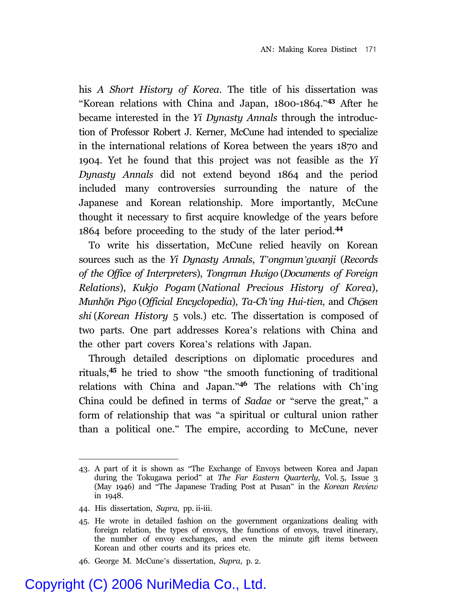his *A Short History of Korea*. The title of his dissertation was "Korean relations with China and Japan, 1800-1864."**<sup>43</sup>** After he became interested in the *Yi Dynasty Annals* through the introduction of Professor Robert J. Kerner, McCune had intended to specialize in the international relations of Korea between the years 1870 and 1904. Yet he found that this project was not feasible as the *Yi Dynasty Annals* did not extend beyond 1864 and the period included many controversies surrounding the nature of the Japanese and Korean relationship. More importantly, McCune thought it necessary to first acquire knowledge of the years before 1864 before proceeding to the study of the later period.**<sup>44</sup>**

To write his dissertation, McCune relied heavily on Korean sources such as the *Yi Dynasty Annals*, *T'ongmun'gwanji* (*Records of the Office of Interpreters*), *Tongmun Hwigo* (*Documents of Foreign Relations*), *Kukjo Pogam* (*National Precious History of Korea*), *Munh n Pigo* (*Official Encyclopedia*), *Ta-Ch'ing Hui-tien*, and *Ch sen shi* (*Korean History* 5 vols.) etc. The dissertation is composed of two parts. One part addresses Korea's relations with China and the other part covers Korea's relations with Japan.

Through detailed descriptions on diplomatic procedures and rituals,**<sup>45</sup>** he tried to show "the smooth functioning of traditional relations with China and Japan."**<sup>46</sup>** The relations with Ch'ing China could be defined in terms of *Sadae* or "serve the great," a form of relationship that was "a spiritual or cultural union rather than a political one." The empire, according to McCune, never

<sup>43.</sup> A part of it is shown as "The Exchange of Envoys between Korea and Japan during the Tokugawa period" at *The Far Eastern Quarterly*, Vol. 5, Issue 3 (May 1946) and "The Japanese Trading Post at Pusan" in the *Korean Review* in 1948.

<sup>44.</sup> His dissertation, *Supra*, pp. ii-iii.

<sup>45.</sup> He wrote in detailed fashion on the government organizations dealing with foreign relation, the types of envoys, the functions of envoys, travel itinerary, the number of envoy exchanges, and even the minute gift items between Korean and other courts and its prices etc.

<sup>46.</sup> George M. McCune's dissertation, *Supra*, p. 2.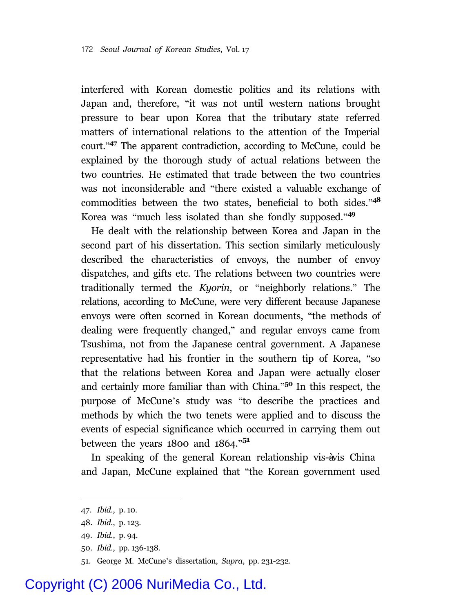interfered with Korean domestic politics and its relations with Japan and, therefore, "it was not until western nations brought pressure to bear upon Korea that the tributary state referred matters of international relations to the attention of the Imperial court." **<sup>47</sup>** The apparent contradiction, according to McCune, could be explained by the thorough study of actual relations between the two countries. He estimated that trade between the two countries was not inconsiderable and "there existed a valuable exchange of commodities between the two states, beneficial to both sides."**<sup>48</sup>** Korea was "much less isolated than she fondly supposed."**<sup>49</sup>**

He dealt with the relationship between Korea and Japan in the second part of his dissertation. This section similarly meticulously described the characteristics of envoys, the number of envoy dispatches, and gifts etc. The relations between two countries were traditionally termed the *Kyorin*, or "neighborly relations." The relations, according to McCune, were very different because Japanese envoys were often scorned in Korean documents, "the methods of dealing were frequently changed," and regular envoys came from Tsushima, not from the Japanese central government. A Japanese representative had his frontier in the southern tip of Korea, "so that the relations between Korea and Japan were actually closer and certainly more familiar than with China."**<sup>50</sup>** In this respect, the purpose of McCune's study was "to describe the practices and methods by which the two tenets were applied and to discuss the events of especial significance which occurred in carrying them out between the years 1800 and 1864." **51**

In speaking of the general Korean relationship vis-àvis China and Japan, McCune explained that "the Korean government used

<sup>47.</sup> *Ibid*., p. 10.

<sup>48.</sup> *Ibid*., p. 123.

<sup>49.</sup> *Ibid*., p. 94.

<sup>50.</sup> *Ibid*., pp. 136-138.

<sup>51.</sup> George M. McCune's dissertation, *Supra*, pp. 231-232.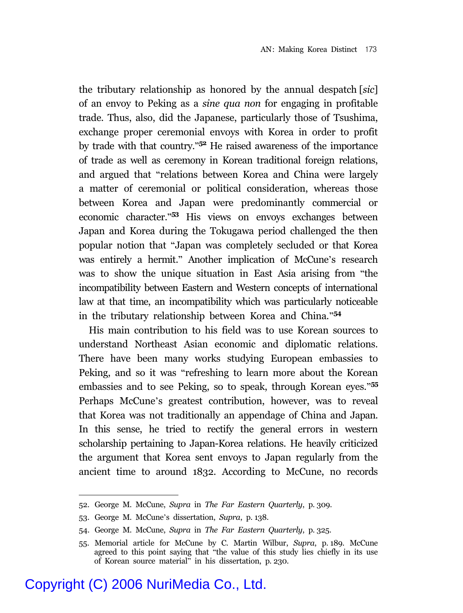the tributary relationship as honored by the annual despatch [*sic*] of an envoy to Peking as a *sine qua non* for engaging in profitable trade. Thus, also, did the Japanese, particularly those of Tsushima, exchange proper ceremonial envoys with Korea in order to profit by trade with that country." **<sup>52</sup>** He raised awareness of the importance of trade as well as ceremony in Korean traditional foreign relations, and argued that "relations between Korea and China were largely a matter of ceremonial or political consideration, whereas those between Korea and Japan were predominantly commercial or economic character." **<sup>53</sup>** His views on envoys exchanges between Japan and Korea during the Tokugawa period challenged the then popular notion that "Japan was completely secluded or that Korea was entirely a hermit." Another implication of McCune's research was to show the unique situation in East Asia arising from "the incompatibility between Eastern and Western concepts of international law at that time, an incompatibility which was particularly noticeable in the tributary relationship between Korea and China."**<sup>54</sup>**

His main contribution to his field was to use Korean sources to understand Northeast Asian economic and diplomatic relations. There have been many works studying European embassies to Peking, and so it was "refreshing to learn more about the Korean embassies and to see Peking, so to speak, through Korean eyes."**<sup>55</sup>** Perhaps McCune's greatest contribution, however, was to reveal that Korea was not traditionally an appendage of China and Japan. In this sense, he tried to rectify the general errors in western scholarship pertaining to Japan-Korea relations. He heavily criticized the argument that Korea sent envoys to Japan regularly from the ancient time to around 1832. According to McCune, no records

<sup>52.</sup> George M. McCune, *Supra* in *The Far Eastern Quarterly*, p. 309.

<sup>53.</sup> George M. McCune's dissertation, *Supra*, p. 138.

<sup>54.</sup> George M. McCune, *Supra* in *The Far Eastern Quarterly*, p. 325.

<sup>55.</sup> Memorial article for McCune by C. Martin Wilbur, *Supra*, p. 189. McCune agreed to this point saying that "the value of this study lies chiefly in its use of Korean source material" in his dissertation, p. 230.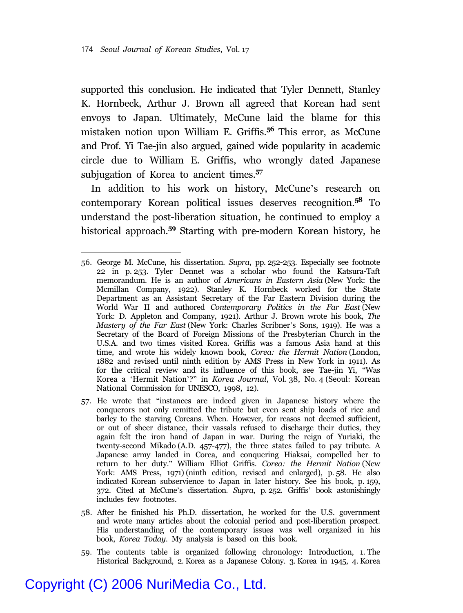supported this conclusion. He indicated that Tyler Dennett, Stanley K. Hornbeck, Arthur J. Brown all agreed that Korean had sent envoys to Japan. Ultimately, McCune laid the blame for this mistaken notion upon William E. Griffis.**<sup>56</sup>** This error, as McCune and Prof. Yi Tae-jin also argued, gained wide popularity in academic circle due to William E. Griffis, who wrongly dated Japanese subjugation of Korea to ancient times.**<sup>57</sup>**

In addition to his work on history, McCune's research on contemporary Korean political issues deserves recognition.**<sup>58</sup>** To understand the post-liberation situation, he continued to employ a historical approach.**<sup>59</sup>** Starting with pre-modern Korean history, he

- 57. He wrote that "instances are indeed given in Japanese history where the conquerors not only remitted the tribute but even sent ship loads of rice and barley to the starving Coreans. When. However, for reasos not deemed sufficient, or out of sheer distance, their vassals refused to discharge their duties, they again felt the iron hand of Japan in war. During the reign of Yuriaki, the twenty-second Mikado (A.D. 457-477), the three states failed to pay tribute. A Japanese army landed in Corea, and conquering Hiaksai, compelled her to return to her duty." William Elliot Griffis. *Corea: the Hermit Nation* (New York: AMS Press, 1971) (ninth edition, revised and enlarged), p. 58. He also indicated Korean subservience to Japan in later history. See his book, p. 159, 372. Cited at McCune's dissertation. *Supra*, p. 252. Griffis' book astonishingly includes few footnotes.
- 58. After he finished his Ph.D. dissertation, he worked for the U.S. government and wrote many articles about the colonial period and post-liberation prospect. His understanding of the contemporary issues was well organized in his book, *Korea Today*. My analysis is based on this book.
- 59. The contents table is organized following chronology: Introduction, 1. The Historical Background, 2. Korea as a Japanese Colony. 3. Korea in 1945, 4. Korea

<sup>56.</sup> George M. McCune, his dissertation. *Supra*, pp. 252-253. Especially see footnote 22 in p. 253. Tyler Dennet was a scholar who found the Katsura-Taft memorandum. He is an author of *Americans in Eastern Asia* (New York: the Mcmillan Company, 1922). Stanley K. Hornbeck worked for the State Department as an Assistant Secretary of the Far Eastern Division during the World War II and authored *Contemporary Politics in the Far East* (New York: D. Appleton and Company, 1921). Arthur J. Brown wrote his book, *The Mastery of the Far East* (New York: Charles Scribner's Sons, 1919). He was a Secretary of the Board of Foreign Missions of the Presbyterian Church in the U.S.A. and two times visited Korea. Griffis was a famous Asia hand at this time, and wrote his widely known book, *Corea: the Hermit Nation* (London, 1882 and revised until ninth edition by AMS Press in New York in 1911). As for the critical review and its influence of this book, see Tae-jin Yi, "Was Korea a 'Hermit Nation'?" in *Korea Journal*, Vol. 38, No. 4 (Seoul: Korean National Commission for UNESCO, 1998, 12).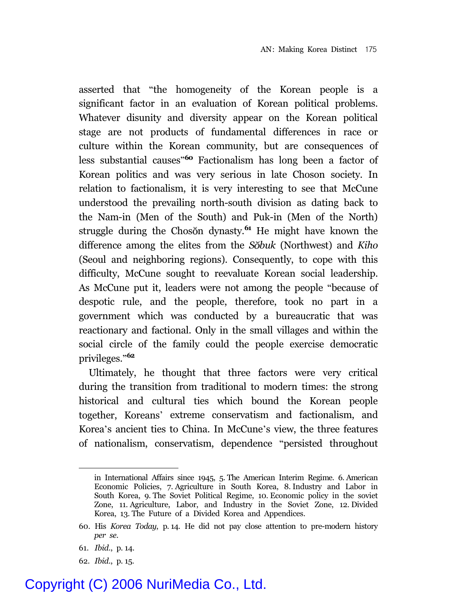asserted that "the homogeneity of the Korean people is a significant factor in an evaluation of Korean political problems. Whatever disunity and diversity appear on the Korean political stage are not products of fundamental differences in race or culture within the Korean community, but are consequences of less substantial causes"**<sup>60</sup>** Factionalism has long been a factor of Korean politics and was very serious in late Choson society. In relation to factionalism, it is very interesting to see that McCune understood the prevailing north-south division as dating back to the Nam-in (Men of the South) and Puk-in (Men of the North) struggle during the Choson dynasty.<sup>61</sup> He might have known the difference among the elites from the *S buk* (Northwest) and *Kiho* (Seoul and neighboring regions). Consequently, to cope with this difficulty, McCune sought to reevaluate Korean social leadership. As McCune put it, leaders were not among the people "because of despotic rule, and the people, therefore, took no part in a government which was conducted by a bureaucratic that was reactionary and factional. Only in the small villages and within the social circle of the family could the people exercise democratic privileges."**<sup>62</sup>**

Ultimately, he thought that three factors were very critical during the transition from traditional to modern times: the strong historical and cultural ties which bound the Korean people together, Koreans' extreme conservatism and factionalism, and Korea's ancient ties to China. In McCune's view, the three features of nationalism, conservatism, dependence "persisted throughout

62. *Ibid*., p. 15.

in International Affairs since 1945, 5. The American Interim Regime. 6. American Economic Policies, 7. Agriculture in South Korea, 8. Industry and Labor in South Korea, 9. The Soviet Political Regime, 10. Economic policy in the soviet Zone, 11. Agriculture, Labor, and Industry in the Soviet Zone, 12. Divided Korea, 13. The Future of a Divided Korea and Appendices.

<sup>60.</sup> His *Korea Today*, p. 14. He did not pay close attention to pre-modern history *per se*.

<sup>61.</sup> *Ibid*., p. 14.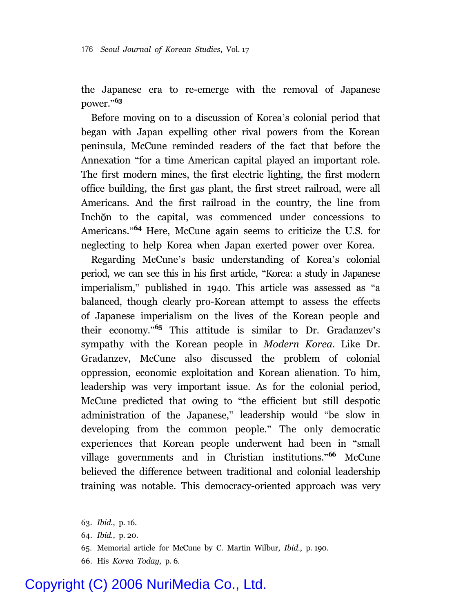the Japanese era to re-emerge with the removal of Japanese power."**<sup>63</sup>**

Before moving on to a discussion of Korea's colonial period that began with Japan expelling other rival powers from the Korean peninsula, McCune reminded readers of the fact that before the Annexation "for a time American capital played an important role. The first modern mines, the first electric lighting, the first modern office building, the first gas plant, the first street railroad, were all Americans. And the first railroad in the country, the line from Inchon to the capital, was commenced under concessions to Americans."**<sup>64</sup>** Here, McCune again seems to criticize the U.S. for neglecting to help Korea when Japan exerted power over Korea.

Regarding McCune's basic understanding of Korea's colonial period, we can see this in his first article, "Korea: a study in Japanese imperialism," published in 1940. This article was assessed as "a balanced, though clearly pro-Korean attempt to assess the effects of Japanese imperialism on the lives of the Korean people and their economy."**<sup>65</sup>** This attitude is similar to Dr. Gradanzev's sympathy with the Korean people in *Modern Korea*. Like Dr. Gradanzev, McCune also discussed the problem of colonial oppression, economic exploitation and Korean alienation. To him, leadership was very important issue. As for the colonial period, McCune predicted that owing to "the efficient but still despotic administration of the Japanese," leadership would "be slow in developing from the common people." The only democratic experiences that Korean people underwent had been in "small village governments and in Christian institutions."**<sup>66</sup>** McCune believed the difference between traditional and colonial leadership training was notable. This democracy-oriented approach was very

<sup>63.</sup> *Ibid*., p. 16.

<sup>64.</sup> *Ibid.*, p. 20.

<sup>65.</sup> Memorial article for McCune by C. Martin Wilbur, *Ibid*., p. 190.

<sup>66.</sup> His *Korea Today*, p. 6.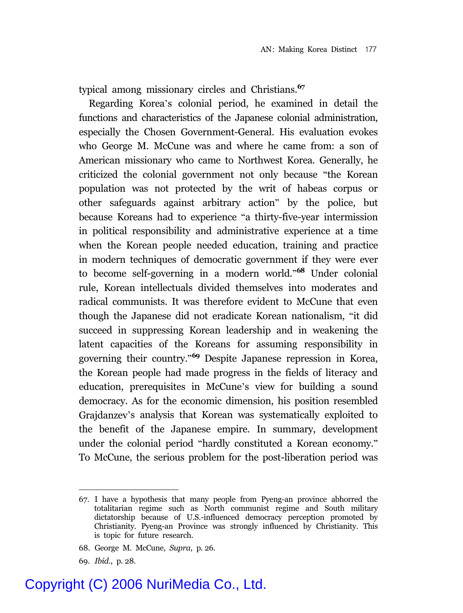typical among missionary circles and Christians.**<sup>67</sup>**

Regarding Korea's colonial period, he examined in detail the functions and characteristics of the Japanese colonial administration, especially the Chosen Government-General. His evaluation evokes who George M. McCune was and where he came from: a son of American missionary who came to Northwest Korea. Generally, he criticized the colonial government not only because "the Korean population was not protected by the writ of habeas corpus or other safeguards against arbitrary action" by the police, but because Koreans had to experience "a thirty-five-year intermission in political responsibility and administrative experience at a time when the Korean people needed education, training and practice in modern techniques of democratic government if they were ever to become self-governing in a modern world."**<sup>68</sup>** Under colonial rule, Korean intellectuals divided themselves into moderates and radical communists. It was therefore evident to McCune that even though the Japanese did not eradicate Korean nationalism, "it did succeed in suppressing Korean leadership and in weakening the latent capacities of the Koreans for assuming responsibility in governing their country."**<sup>69</sup>** Despite Japanese repression in Korea, the Korean people had made progress in the fields of literacy and education, prerequisites in McCune's view for building a sound democracy. As for the economic dimension, his position resembled Grajdanzev's analysis that Korean was systematically exploited to the benefit of the Japanese empire. In summary, development under the colonial period "hardly constituted a Korean economy." To McCune, the serious problem for the post-liberation period was

<sup>67.</sup> I have a hypothesis that many people from Pyeng-an province abhorred the totalitarian regime such as North communist regime and South military dictatorship because of U.S.-influenced democracy perception promoted by Christianity. Pyeng-an Province was strongly influenced by Christianity. This is topic for future research.

<sup>68.</sup> George M. McCune, *Supra*, p. 26.

<sup>69.</sup> *Ibid*., p. 28.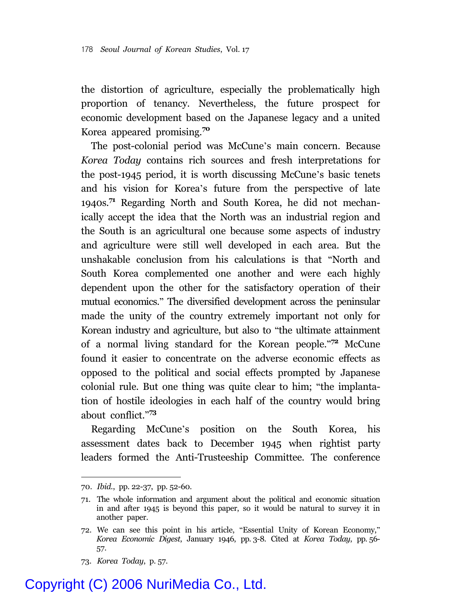the distortion of agriculture, especially the problematically high proportion of tenancy. Nevertheless, the future prospect for economic development based on the Japanese legacy and a united Korea appeared promising.**<sup>70</sup>**

The post-colonial period was McCune's main concern. Because *Korea Today* contains rich sources and fresh interpretations for the post-1945 period, it is worth discussing McCune's basic tenets and his vision for Korea's future from the perspective of late 1940s.**<sup>71</sup>** Regarding North and South Korea, he did not mechanically accept the idea that the North was an industrial region and the South is an agricultural one because some aspects of industry and agriculture were still well developed in each area. But the unshakable conclusion from his calculations is that "North and South Korea complemented one another and were each highly dependent upon the other for the satisfactory operation of their mutual economics." The diversified development across the peninsular made the unity of the country extremely important not only for Korean industry and agriculture, but also to "the ultimate attainment of a normal living standard for the Korean people."**<sup>72</sup>** McCune found it easier to concentrate on the adverse economic effects as opposed to the political and social effects prompted by Japanese colonial rule. But one thing was quite clear to him; "the implantation of hostile ideologies in each half of the country would bring about conflict."**<sup>73</sup>**

Regarding McCune's position on the South Korea, his assessment dates back to December 1945 when rightist party leaders formed the Anti-Trusteeship Committee. The conference

<sup>70.</sup> *Ibid*., pp. 22-37, pp. 52-60.

<sup>71.</sup> The whole information and argument about the political and economic situation in and after 1945 is beyond this paper, so it would be natural to survey it in another paper.

<sup>72.</sup> We can see this point in his article, "Essential Unity of Korean Economy," *Korea Economic Digest*, January 1946, pp. 3-8. Cited at *Korea Today*, pp. 56- 57.

<sup>73.</sup> *Korea Today*, p. 57.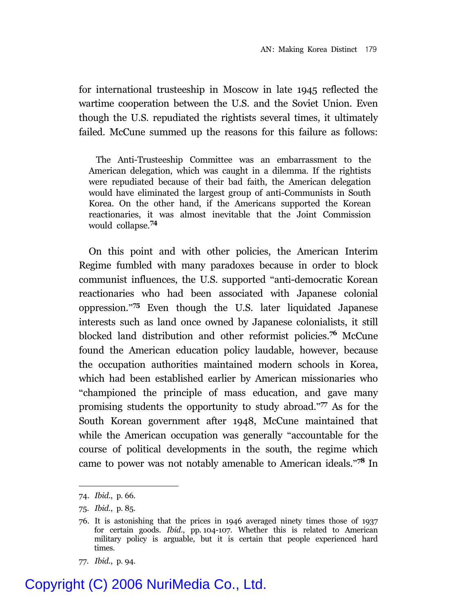for international trusteeship in Moscow in late 1945 reflected the wartime cooperation between the U.S. and the Soviet Union. Even though the U.S. repudiated the rightists several times, it ultimately failed. McCune summed up the reasons for this failure as follows:

The Anti-Trusteeship Committee was an embarrassment to the American delegation, which was caught in a dilemma. If the rightists were repudiated because of their bad faith, the American delegation would have eliminated the largest group of anti-Communists in South Korea. On the other hand, if the Americans supported the Korean reactionaries, it was almost inevitable that the Joint Commission would collapse.**<sup>74</sup>**

On this point and with other policies, the American Interim Regime fumbled with many paradoxes because in order to block communist influences, the U.S. supported "anti-democratic Korean reactionaries who had been associated with Japanese colonial oppression."**<sup>75</sup>** Even though the U.S. later liquidated Japanese interests such as land once owned by Japanese colonialists, it still blocked land distribution and other reformist policies.**<sup>76</sup>** McCune found the American education policy laudable, however, because the occupation authorities maintained modern schools in Korea, which had been established earlier by American missionaries who "championed the principle of mass education, and gave many promising students the opportunity to study abroad."**<sup>77</sup>** As for the South Korean government after 1948, McCune maintained that while the American occupation was generally "accountable for the course of political developments in the south, the regime which came to power was not notably amenable to American ideals."**<sup>78</sup>** In

<sup>74.</sup> *Ibid*., p. 66.

<sup>75.</sup> *Ibid.*, p. 85.

<sup>76.</sup> It is astonishing that the prices in 1946 averaged ninety times those of 1937 for certain goods. *Ibid*., pp. 104-107. Whether this is related to American military policy is arguable, but it is certain that people experienced hard times.

<sup>77.</sup> *Ibid.*, p. 94.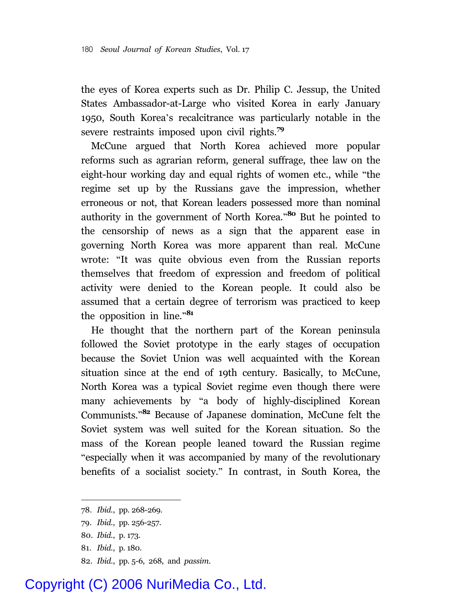the eyes of Korea experts such as Dr. Philip C. Jessup, the United States Ambassador-at-Large who visited Korea in early January 1950, South Korea's recalcitrance was particularly notable in the severe restraints imposed upon civil rights.**<sup>79</sup>**

McCune argued that North Korea achieved more popular reforms such as agrarian reform, general suffrage, thee law on the eight-hour working day and equal rights of women etc., while "the regime set up by the Russians gave the impression, whether erroneous or not, that Korean leaders possessed more than nominal authority in the government of North Korea."**<sup>80</sup>** But he pointed to the censorship of news as a sign that the apparent ease in governing North Korea was more apparent than real. McCune wrote: "It was quite obvious even from the Russian reports themselves that freedom of expression and freedom of political activity were denied to the Korean people. It could also be assumed that a certain degree of terrorism was practiced to keep the opposition in line."**<sup>81</sup>**

He thought that the northern part of the Korean peninsula followed the Soviet prototype in the early stages of occupation because the Soviet Union was well acquainted with the Korean situation since at the end of 19th century. Basically, to McCune, North Korea was a typical Soviet regime even though there were many achievements by "a body of highly-disciplined Korean Communists."**<sup>82</sup>** Because of Japanese domination, McCune felt the Soviet system was well suited for the Korean situation. So the mass of the Korean people leaned toward the Russian regime "especially when it was accompanied by many of the revolutionary benefits of a socialist society." In contrast, in South Korea, the

- 81. *Ibid.*, p. 180.
- 82. *Ibid*., pp. 5-6, 268, and *passim*.

<sup>78.</sup> *Ibid.*, pp. 268-269.

<sup>79.</sup> *Ibid*., pp. 256-257.

<sup>80.</sup> *Ibid.*, p. 173.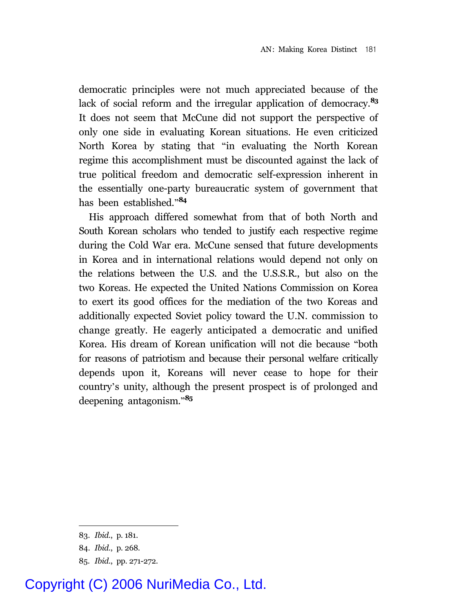democratic principles were not much appreciated because of the lack of social reform and the irregular application of democracy.**<sup>83</sup>** It does not seem that McCune did not support the perspective of only one side in evaluating Korean situations. He even criticized North Korea by stating that "in evaluating the North Korean regime this accomplishment must be discounted against the lack of true political freedom and democratic self-expression inherent in the essentially one-party bureaucratic system of government that has been established."**<sup>84</sup>**

His approach differed somewhat from that of both North and South Korean scholars who tended to justify each respective regime during the Cold War era. McCune sensed that future developments in Korea and in international relations would depend not only on the relations between the U.S. and the U.S.S.R., but also on the two Koreas. He expected the United Nations Commission on Korea to exert its good offices for the mediation of the two Koreas and additionally expected Soviet policy toward the U.N. commission to change greatly. He eagerly anticipated a democratic and unified Korea. His dream of Korean unification will not die because "both for reasons of patriotism and because their personal welfare critically depends upon it, Koreans will never cease to hope for their country's unity, although the present prospect is of prolonged and deepening antagonism."**<sup>85</sup>**

<sup>83.</sup> *Ibid.*, p. 181.

<sup>84.</sup> *Ibid.*, p. 268.

<sup>85.</sup> *Ibid*., pp. 271-272.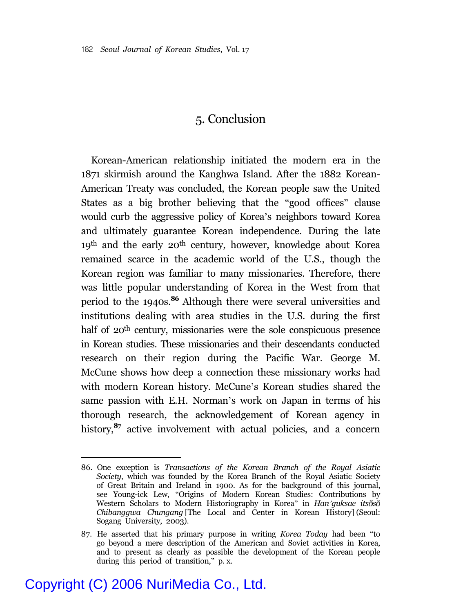#### 5. Conclusion

Korean-American relationship initiated the modern era in the 1871 skirmish around the Kanghwa Island. After the 1882 Korean-American Treaty was concluded, the Korean people saw the United States as a big brother believing that the "good offices" clause would curb the aggressive policy of Korea's neighbors toward Korea and ultimately guarantee Korean independence. During the late 19th and the early 20th century, however, knowledge about Korea remained scarce in the academic world of the U.S., though the Korean region was familiar to many missionaries. Therefore, there was little popular understanding of Korea in the West from that period to the 1940s.**<sup>86</sup>** Although there were several universities and institutions dealing with area studies in the U.S. during the first half of 20<sup>th</sup> century, missionaries were the sole conspicuous presence in Korean studies. These missionaries and their descendants conducted research on their region during the Pacific War. George M. McCune shows how deep a connection these missionary works had with modern Korean history. McCune's Korean studies shared the same passion with E.H. Norman's work on Japan in terms of his thorough research, the acknowledgement of Korean agency in history,<sup>87</sup> active involvement with actual policies, and a concern

<sup>86.</sup> One exception is *Transactions of the Korean Branch of the Royal Asiatic Society*, which was founded by the Korea Branch of the Royal Asiatic Society of Great Britain and Ireland in 1900. As for the background of this journal, see Young-ick Lew, "Origins of Modern Korean Studies: Contributions by Western Scholars to Modern Historiography in Korea" in *Han'guksae itsoso Chibanggwa Chungang* [The Local and Center in Korean History] (Seoul: Sogang University, 2003).

<sup>87.</sup> He asserted that his primary purpose in writing *Korea Today* had been "to go beyond a mere description of the American and Soviet activities in Korea, and to present as clearly as possible the development of the Korean people during this period of transition," p. x.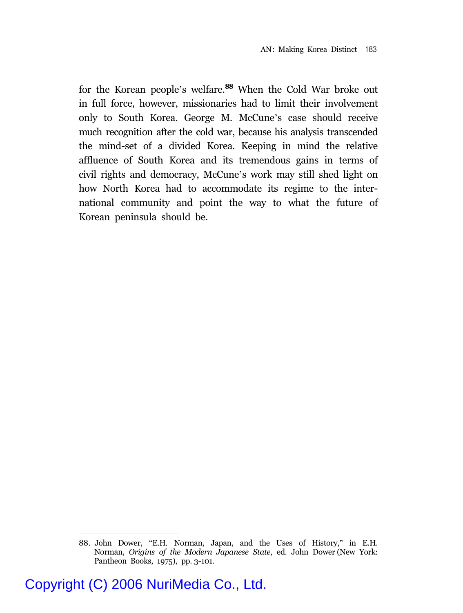for the Korean people's welfare.**<sup>88</sup>** When the Cold War broke out in full force, however, missionaries had to limit their involvement only to South Korea. George M. McCune's case should receive much recognition after the cold war, because his analysis transcended the mind-set of a divided Korea. Keeping in mind the relative affluence of South Korea and its tremendous gains in terms of civil rights and democracy, McCune's work may still shed light on how North Korea had to accommodate its regime to the international community and point the way to what the future of Korean peninsula should be.

<sup>88.</sup> John Dower, "E.H. Norman, Japan, and the Uses of History," in E.H. Norman, *Origins of the Modern Japanese State*, ed. John Dower (New York: Pantheon Books, 1975), pp. 3-101.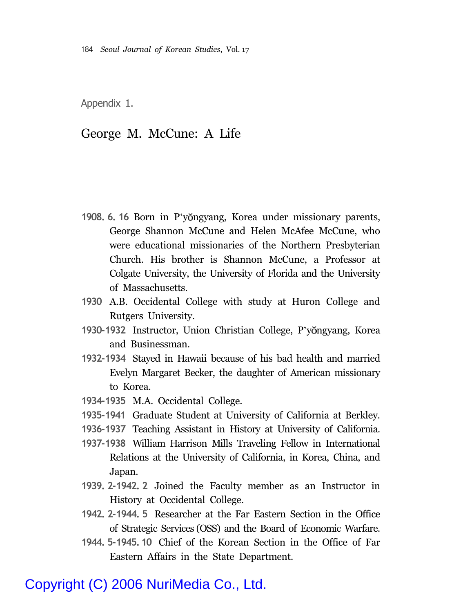Appendix 1.

#### George M. McCune: A Life

- 1908. 6. 16 Born in P'yŏngyang, Korea under missionary parents, George Shannon McCune and Helen McAfee McCune, who were educational missionaries of the Northern Presbyterian Church. His brother is Shannon McCune, a Professor at Colgate University, the University of Florida and the University of Massachusetts.
- **1930** A.B. Occidental College with study at Huron College and Rutgers University.
- 1930-1932 Instructor, Union Christian College, P'yŏngyang, Korea and Businessman.
- **1932-1934** Stayed in Hawaii because of his bad health and married Evelyn Margaret Becker, the daughter of American missionary to Korea.
- **1934-1935** M.A. Occidental College.
- **1935-1941** Graduate Student at University of California at Berkley.
- **1936-1937** Teaching Assistant in History at University of California.
- **1937-1938** William Harrison Mills Traveling Fellow in International Relations at the University of California, in Korea, China, and Japan.
- **1939. 2-1942. 2** Joined the Faculty member as an Instructor in History at Occidental College.
- **1942. 2-1944. 5** Researcher at the Far Eastern Section in the Office of Strategic Services (OSS) and the Board of Economic Warfare.
- **1944. 5-1945. 10** Chief of the Korean Section in the Office of Far Eastern Affairs in the State Department.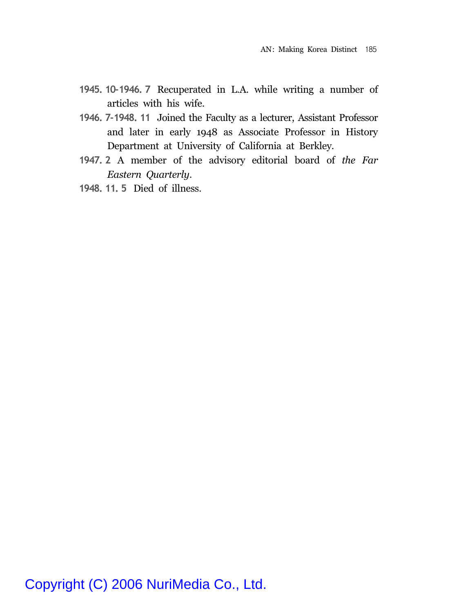- **1945. 10-1946. 7** Recuperated in L.A. while writing a number of articles with his wife.
- **1946. 7-1948. 11** Joined the Faculty as a lecturer, Assistant Professor and later in early 1948 as Associate Professor in History Department at University of California at Berkley.
- **1947. 2** A member of the advisory editorial board of *the Far Eastern Quarterly*.
- **1948. 11. 5** Died of illness.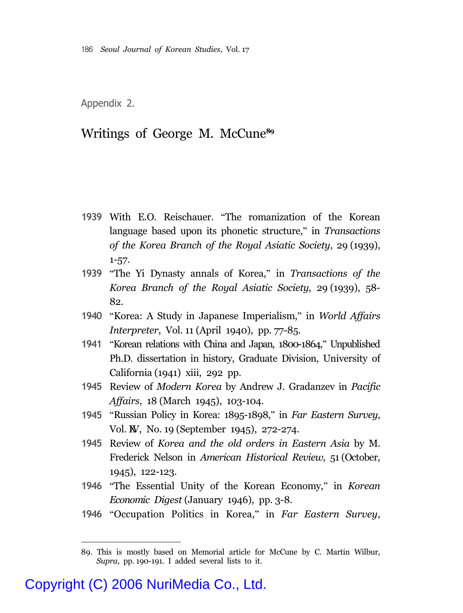Appendix 2.

#### Writings of George M. McCune**<sup>89</sup>**

- **1939** With E.O. Reischauer. "The romanization of the Korean language based upon its phonetic structure," in *Transactions of the Korea Branch of the Royal Asiatic Society*, 29 (1939), 1-57.
- **1939** "The Yi Dynasty annals of Korea," in *Transactions of the Korea Branch of the Royal Asiatic Society*, 29 (1939), 58- 82.
- **1940** "Korea: A Study in Japanese Imperialism," in *World Affairs Interpreter*, Vol. 11 (April 1940), pp. 77-85.
- **1941** "Korean relations with China and Japan, 1800-1864," Unpublished Ph.D. dissertation in history, Graduate Division, University of California (1941) xiii, 292 pp.
- **1945** Review of *Modern Korea* by Andrew J. Gradanzev in *Pacific Affairs*, 18 (March 1945), 103-104.
- **1945** "Russian Policy in Korea: 1895-1898," in *Far Eastern Survey*, Vol. **W**, No. 19 (September 1945), 272-274.
- **1945** Review of *Korea and the old orders in Eastern Asia* by M. Frederick Nelson in *American Historical Review*, 51 (October, 1945), 122-123.
- **1946** "The Essential Unity of the Korean Economy," in *Korean Economic Digest* (January 1946), pp. 3-8.
- **1946** "Occupation Politics in Korea," in *Far Eastern Survey*,

<sup>89.</sup> This is mostly based on Memorial article for McCune by C. Martin Wilbur, *Supra*, pp. 190-191. I added several lists to it.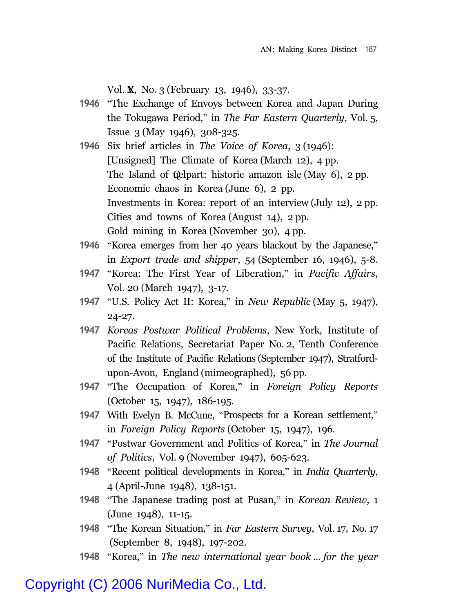Vol. **X**, No. 3 (February 13, 1946), 33-37.

- **1946** "The Exchange of Envoys between Korea and Japan During the Tokugawa Period," in *The Far Eastern Quarterly*, Vol. 5, Issue 3 (May 1946), 308-325.
- **1946** Six brief articles in *The Voice of Korea*, 3 (1946): [Unsigned] The Climate of Korea (March 12), 4 pp. The Island of **Quelpart**: historic amazon isle (May 6), 2 pp. Economic chaos in Korea (June 6), 2 pp. Investments in Korea: report of an interview (July 12), 2 pp. Cities and towns of Korea (August 14), 2 pp. Gold mining in Korea (November 30), 4 pp.
- **1946** "Korea emerges from her 40 years blackout by the Japanese," in *Export trade and shipper*, 54 (September 16, 1946), 5-8.
- **1947** "Korea: The First Year of Liberation," in *Pacific Affairs*, Vol. 20 (March 1947), 3-17.
- **1947** "U.S. Policy Act II: Korea," in *New Republic* (May 5, 1947), 24-27.
- **1947** *Koreas Postwar Political Problems*, New York, Institute of Pacific Relations, Secretariat Paper No. 2, Tenth Conference of the Institute of Pacific Relations (September 1947), Stratfordupon-Avon, England (mimeographed), 56 pp.
- **1947** "The Occupation of Korea," in *Foreign Policy Reports* (October 15, 1947), 186-195.
- **1947** With Evelyn B. McCune, "Prospects for a Korean settlement," in *Foreign Policy Reports* (October 15, 1947), 196.
- **1947** "Postwar Government and Politics of Korea," in *The Journal of Politics*, Vol. 9 (November 1947), 605-623.
- **1948** "Recent political developments in Korea," in *India Quarterly*, 4 (April-June 1948), 138-151.
- **1948** "The Japanese trading post at Pusan," in *Korean Review*, 1 (June 1948), 11-15.
- **1948** "The Korean Situation," in *Far Eastern Survey*, Vol. 17, No. 17 (September 8, 1948), 197-202.
- **1948** "Korea," in *The new international year book ... for the year*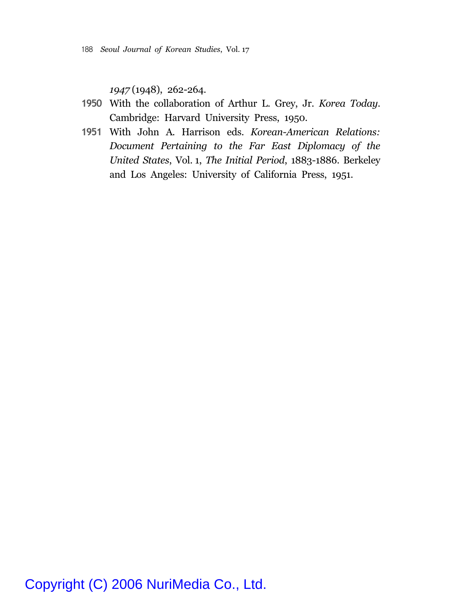*1947* (1948), 262-264.

- **1950** With the collaboration of Arthur L. Grey, Jr. *Korea Today*. Cambridge: Harvard University Press, 1950.
- **1951** With John A. Harrison eds. *Korean-American Relations: Document Pertaining to the Far East Diplomacy of the United States*, Vol. 1, *The Initial Period*, 1883-1886. Berkeley and Los Angeles: University of California Press, 1951.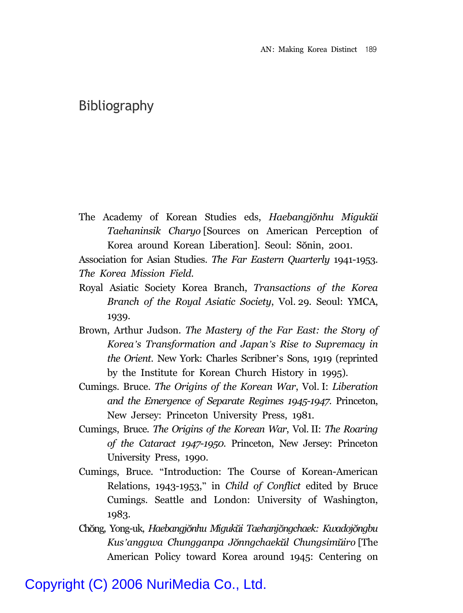#### Bibliography

The Academy of Korean Studies eds, *Haebangjŏnhu Migukŭi Taehaninsik Charyo* [Sources on American Perception of Korea around Korean Liberation]. Seoul: Sŏnin, 2001.

Association for Asian Studies. *The Far Eastern Quarterly* 1941-1953. *The Korea Mission Field*.

- Royal Asiatic Society Korea Branch, *Transactions of the Korea Branch of the Royal Asiatic Society*, Vol. 29. Seoul: YMCA, 1939.
- Brown, Arthur Judson. *The Mastery of the Far East: the Story of Korea's Transformation and Japan's Rise to Supremacy in the Orient*. New York: Charles Scribner's Sons, 1919 (reprinted by the Institute for Korean Church History in 1995).
- Cumings. Bruce. *The Origins of the Korean War*, Vol. I: *Liberation and the Emergence of Separate Regimes 1945-1947*. Princeton, New Jersey: Princeton University Press, 1981.
- Cumings, Bruce. *The Origins of the Korean War*, Vol. II: *The Roaring of the Cataract 1947-1950.* Princeton, New Jersey: Princeton University Press, 1990.
- Cumings, Bruce. "Introduction: The Course of Korean-American Relations, 1943-1953," in *Child of Conflict* edited by Bruce Cumings. Seattle and London: University of Washington, 1983.
- Ch ng, Yong-uk, *Haebangj nhu Miguk i Taehanj ngchaek: Kwadoj ngbu Kus'anggwa Chungganpa J nngchaek l Chungsim iro* [The American Policy toward Korea around 1945: Centering on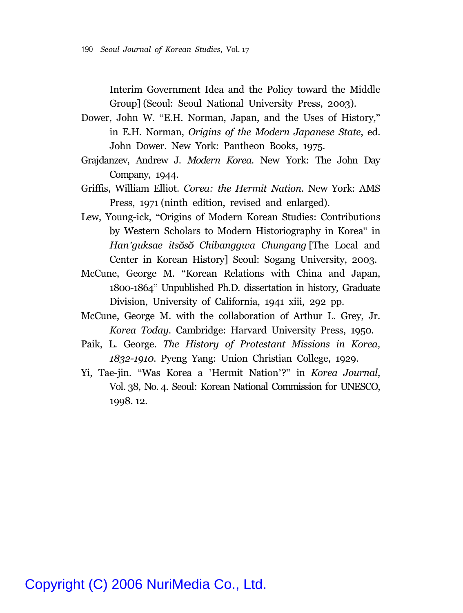Interim Government Idea and the Policy toward the Middle Group] (Seoul: Seoul National University Press, 2003).

- Dower, John W. "E.H. Norman, Japan, and the Uses of History," in E.H. Norman, *Origins of the Modern Japanese State*, ed. John Dower. New York: Pantheon Books, 1975.
- Grajdanzev, Andrew J. *Modern Korea*. New York: The John Day Company, 1944.
- Griffis, William Elliot. *Corea: the Hermit Nation*. New York: AMS Press, 1971 (ninth edition, revised and enlarged).
- Lew, Young-ick, "Origins of Modern Korean Studies: Contributions by Western Scholars to Modern Historiography in Korea" in *Han'guksae its s Chibanggwa Chungang* [The Local and Center in Korean History] Seoul: Sogang University, 2003.
- McCune, George M. "Korean Relations with China and Japan, 1800-1864" Unpublished Ph.D. dissertation in history, Graduate Division, University of California, 1941 xiii, 292 pp.
- McCune, George M. with the collaboration of Arthur L. Grey, Jr. *Korea Today*. Cambridge: Harvard University Press, 1950.
- Paik, L. George. *The History of Protestant Missions in Korea, 1832-1910*. Pyeng Yang: Union Christian College, 1929.
- Yi, Tae-jin. "Was Korea a 'Hermit Nation'?" in *Korea Journal*, Vol. 38, No. 4. Seoul: Korean National Commission for UNESCO, 1998. 12.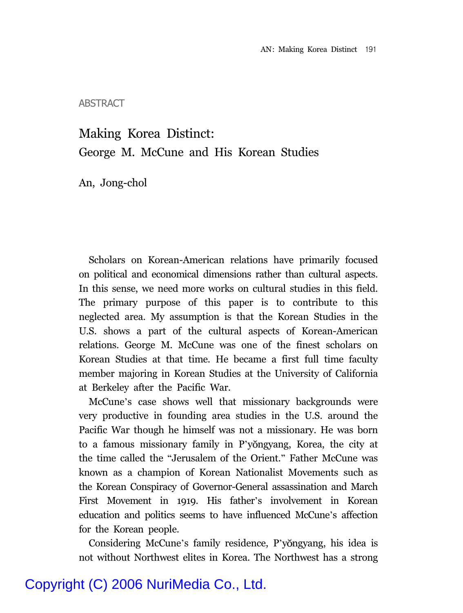ABSTRACT

### Making Korea Distinct: George M. McCune and His Korean Studies

An, Jong-chol

Scholars on Korean-American relations have primarily focused on political and economical dimensions rather than cultural aspects. In this sense, we need more works on cultural studies in this field. The primary purpose of this paper is to contribute to this neglected area. My assumption is that the Korean Studies in the U.S. shows a part of the cultural aspects of Korean-American relations. George M. McCune was one of the finest scholars on Korean Studies at that time. He became a first full time faculty member majoring in Korean Studies at the University of California at Berkeley after the Pacific War.

McCune's case shows well that missionary backgrounds were very productive in founding area studies in the U.S. around the Pacific War though he himself was not a missionary. He was born to a famous missionary family in P'yongyang, Korea, the city at the time called the "Jerusalem of the Orient." Father McCune was known as a champion of Korean Nationalist Movements such as the Korean Conspiracy of Governor-General assassination and March First Movement in 1919. His father's involvement in Korean education and politics seems to have influenced McCune's affection for the Korean people.

Considering McCune's family residence, P'yongyang, his idea is not without Northwest elites in Korea. The Northwest has a strong